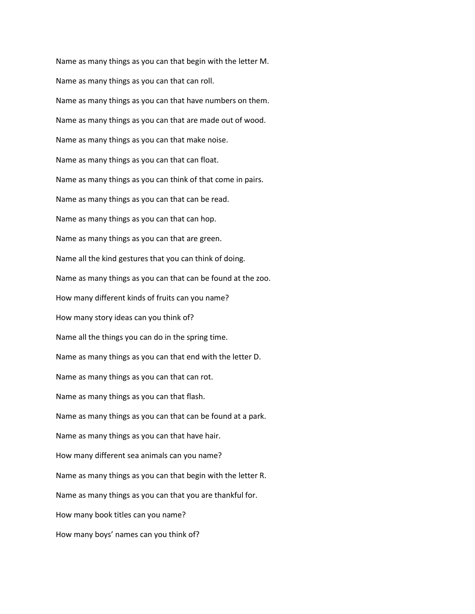Name as many things as you can that begin with the letter M. Name as many things as you can that can roll. Name as many things as you can that have numbers on them. Name as many things as you can that are made out of wood. Name as many things as you can that make noise. Name as many things as you can that can float. Name as many things as you can think of that come in pairs. Name as many things as you can that can be read. Name as many things as you can that can hop. Name as many things as you can that are green. Name all the kind gestures that you can think of doing. Name as many things as you can that can be found at the zoo. How many different kinds of fruits can you name? How many story ideas can you think of? Name all the things you can do in the spring time. Name as many things as you can that end with the letter D. Name as many things as you can that can rot. Name as many things as you can that flash. Name as many things as you can that can be found at a park. Name as many things as you can that have hair. How many different sea animals can you name? Name as many things as you can that begin with the letter R. Name as many things as you can that you are thankful for. How many book titles can you name? How many boys' names can you think of?